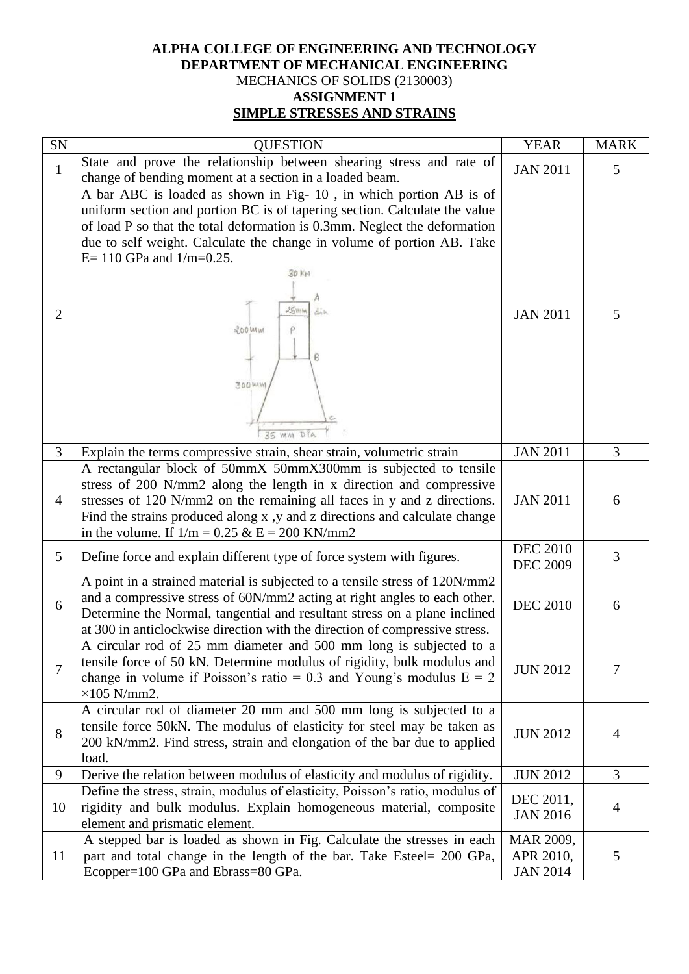## **ALPHA COLLEGE OF ENGINEERING AND TECHNOLOGY DEPARTMENT OF MECHANICAL ENGINEERING** MECHANICS OF SOLIDS (2130003) **ASSIGNMENT 1 SIMPLE STRESSES AND STRAINS**

| SN             | <b>QUESTION</b>                                                                                                                                                                                                                                                                                                                                                                                    | <b>YEAR</b>                               | <b>MARK</b> |
|----------------|----------------------------------------------------------------------------------------------------------------------------------------------------------------------------------------------------------------------------------------------------------------------------------------------------------------------------------------------------------------------------------------------------|-------------------------------------------|-------------|
| $\mathbf{1}$   | State and prove the relationship between shearing stress and rate of<br>change of bending moment at a section in a loaded beam.                                                                                                                                                                                                                                                                    | <b>JAN 2011</b>                           | 5           |
| $\overline{2}$ | A bar ABC is loaded as shown in Fig-10, in which portion AB is of<br>uniform section and portion BC is of tapering section. Calculate the value<br>of load P so that the total deformation is 0.3mm. Neglect the deformation<br>due to self weight. Calculate the change in volume of portion AB. Take<br>$E = 110$ GPa and $1/m = 0.25$ .<br>30 KW<br>25300<br>di b<br>200 W W<br>ρ<br>ρ<br>300MW | <b>JAN 2011</b>                           | 5           |
| 3              | 35 mm DPa<br>Explain the terms compressive strain, shear strain, volumetric strain                                                                                                                                                                                                                                                                                                                 | <b>JAN 2011</b>                           | 3           |
| $\overline{4}$ | A rectangular block of 50mmX 50mmX300mm is subjected to tensile<br>stress of 200 N/mm2 along the length in x direction and compressive<br>stresses of 120 N/mm2 on the remaining all faces in y and z directions.<br>Find the strains produced along x, y and z directions and calculate change<br>in the volume. If $1/m = 0.25 \& E = 200 \text{ KN/mm2}$                                        | <b>JAN 2011</b>                           | 6           |
| 5              | Define force and explain different type of force system with figures.                                                                                                                                                                                                                                                                                                                              | <b>DEC 2010</b><br><b>DEC 2009</b>        | 3           |
| 6              | A point in a strained material is subjected to a tensile stress of 120N/mm2<br>and a compressive stress of 60N/mm2 acting at right angles to each other.<br>Determine the Normal, tangential and resultant stress on a plane inclined<br>at 300 in anticlockwise direction with the direction of compressive stress.                                                                               | <b>DEC 2010</b>                           | 6           |
| 7              | A circular rod of 25 mm diameter and 500 mm long is subjected to a<br>tensile force of 50 kN. Determine modulus of rigidity, bulk modulus and<br>change in volume if Poisson's ratio = 0.3 and Young's modulus $E = 2$<br>$\times 105$ N/mm2.                                                                                                                                                      | <b>JUN 2012</b>                           | 7           |
| 8              | A circular rod of diameter 20 mm and 500 mm long is subjected to a<br>tensile force 50kN. The modulus of elasticity for steel may be taken as<br>200 kN/mm2. Find stress, strain and elongation of the bar due to applied<br>load.                                                                                                                                                                 | <b>JUN 2012</b>                           | 4           |
| 9              | Derive the relation between modulus of elasticity and modulus of rigidity.                                                                                                                                                                                                                                                                                                                         | <b>JUN 2012</b>                           | 3           |
| 10             | Define the stress, strain, modulus of elasticity, Poisson's ratio, modulus of<br>rigidity and bulk modulus. Explain homogeneous material, composite<br>element and prismatic element.                                                                                                                                                                                                              | DEC 2011,<br><b>JAN 2016</b>              | 4           |
| 11             | A stepped bar is loaded as shown in Fig. Calculate the stresses in each<br>part and total change in the length of the bar. Take Esteel= 200 GPa,<br>Ecopper=100 GPa and Ebrass=80 GPa.                                                                                                                                                                                                             | MAR 2009,<br>APR 2010,<br><b>JAN 2014</b> | 5           |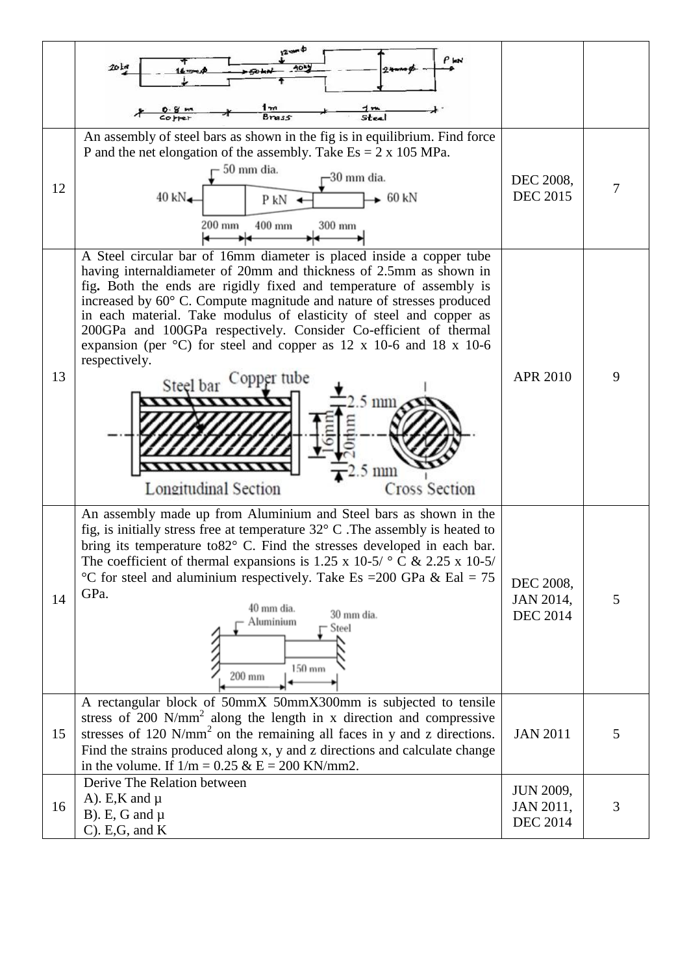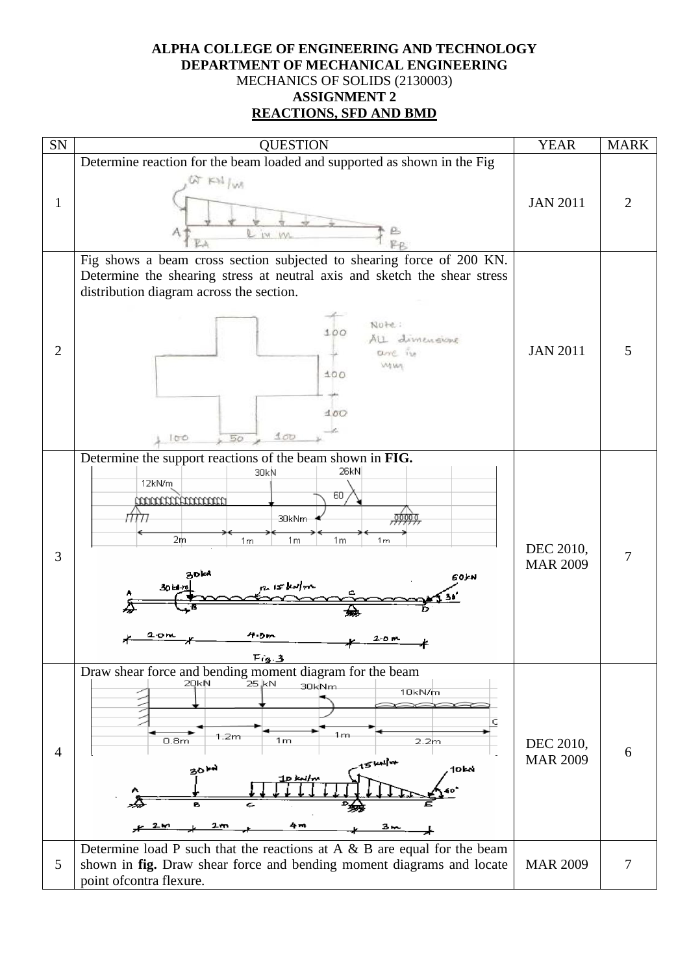## **ALPHA COLLEGE OF ENGINEERING AND TECHNOLOGY DEPARTMENT OF MECHANICAL ENGINEERING** MECHANICS OF SOLIDS (2130003) **ASSIGNMENT 2 REACTIONS, SFD AND BMD**

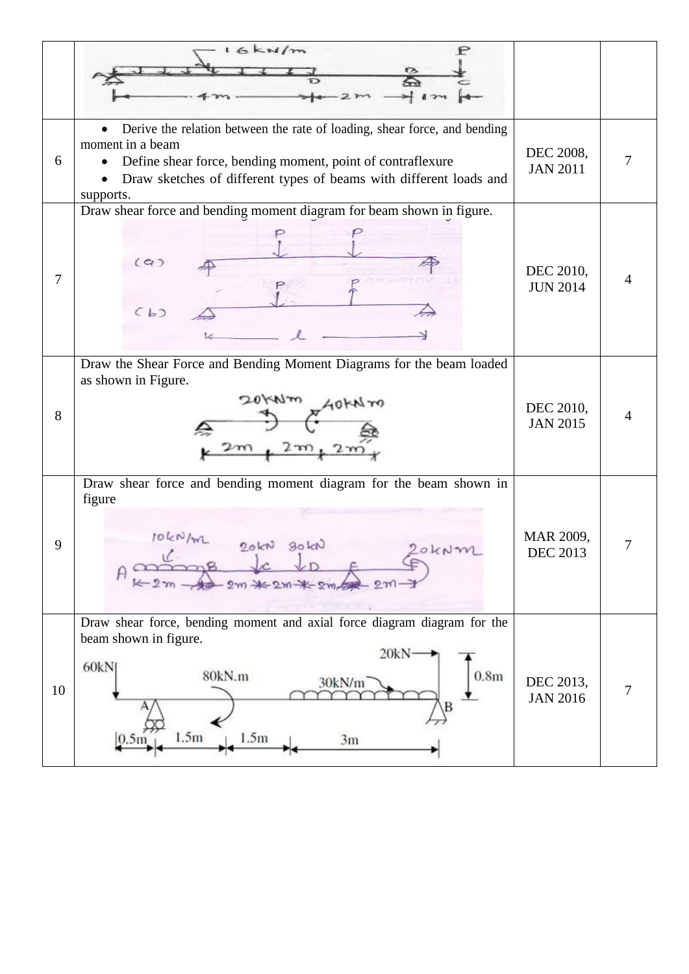|    | 16km/m                                                                                                                                                                                                                                                      |                              |   |
|----|-------------------------------------------------------------------------------------------------------------------------------------------------------------------------------------------------------------------------------------------------------------|------------------------------|---|
| 6  | Derive the relation between the rate of loading, shear force, and bending<br>$\bullet$<br>moment in a beam<br>Define shear force, bending moment, point of contraflexure<br>Draw sketches of different types of beams with different loads and<br>supports. | DEC 2008,<br><b>JAN 2011</b> |   |
| 7  | Draw shear force and bending moment diagram for beam shown in figure.<br>(a)<br>(b)                                                                                                                                                                         | DEC 2010,<br><b>JUN 2014</b> | 4 |
| 8  | Draw the Shear Force and Bending Moment Diagrams for the beam loaded<br>as shown in Figure.                                                                                                                                                                 | DEC 2010,<br><b>JAN 2015</b> |   |
| 9  | Draw shear force and bending moment diagram for the beam shown in<br>figure<br>10kN/m<br>30KN<br>90kN                                                                                                                                                       | MAR 2009,<br><b>DEC 2013</b> | 7 |
| 10 | Draw shear force, bending moment and axial force diagram diagram for the<br>beam shown in figure.<br>20kN<br>60kN<br>80kN.m<br>0.8 <sub>m</sub><br>30kN/m<br>1.5m<br>1.5m<br>3m                                                                             | DEC 2013,<br><b>JAN 2016</b> | 7 |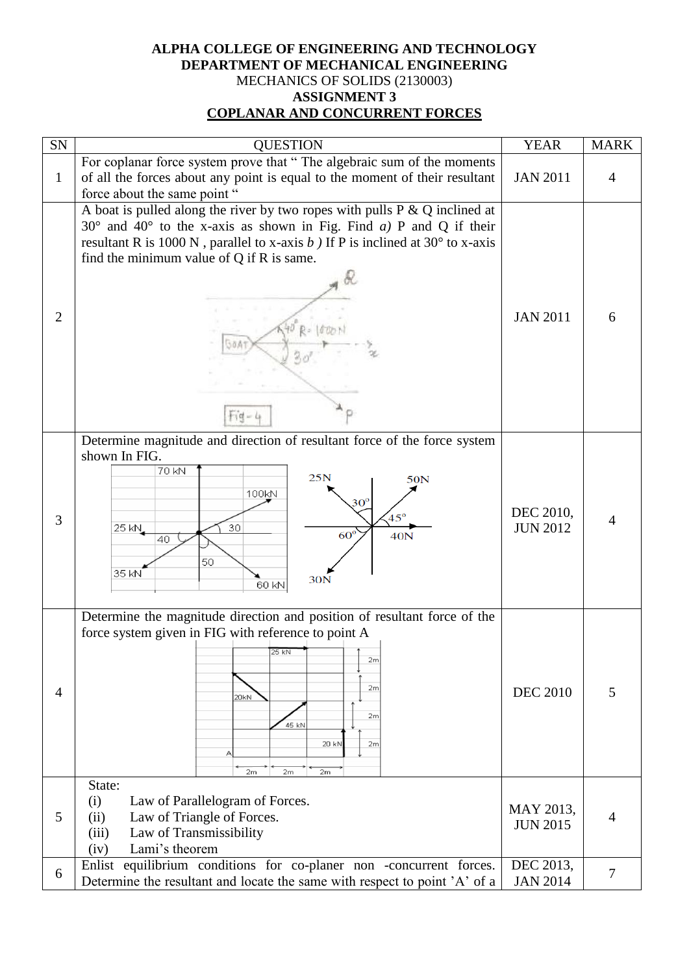## **ALPHA COLLEGE OF ENGINEERING AND TECHNOLOGY DEPARTMENT OF MECHANICAL ENGINEERING** MECHANICS OF SOLIDS (2130003) **ASSIGNMENT 3 COPLANAR AND CONCURRENT FORCES**

| SN             | <b>QUESTION</b>                                                                                                                                                                                                                                                                                                       | <b>YEAR</b>                  | <b>MARK</b>    |
|----------------|-----------------------------------------------------------------------------------------------------------------------------------------------------------------------------------------------------------------------------------------------------------------------------------------------------------------------|------------------------------|----------------|
| $\mathbf{1}$   | For coplanar force system prove that "The algebraic sum of the moments<br>of all the forces about any point is equal to the moment of their resultant<br>force about the same point "                                                                                                                                 | <b>JAN 2011</b>              | 4              |
| $\overline{2}$ | A boat is pulled along the river by two ropes with pulls $P \& Q$ inclined at<br>$30^{\circ}$ and $40^{\circ}$ to the x-axis as shown in Fig. Find a) P and Q if their<br>resultant R is 1000 N, parallel to x-axis $b$ ) If P is inclined at 30 $\degree$ to x-axis<br>find the minimum value of $Q$ if $R$ is same. | <b>JAN 2011</b>              | 6              |
| 3              | Determine magnitude and direction of resultant force of the force system<br>shown In FIG.<br>70 kN<br>25N<br>50N<br>100kN<br>$30^{\rm o}$<br>$45^\circ$<br>30<br>25 KN<br>$60^\circ$<br>40N<br>40<br>50<br>35 kN<br>30N<br>60 kN                                                                                      | DEC 2010,<br><b>JUN 2012</b> |                |
| $\overline{4}$ | Determine the magnitude direction and position of resultant force of the<br>force system given in FIG with reference to point A<br>25 kN<br>2m<br>2m<br>20kN<br>2m<br>45 kN<br>20 kN<br>2m<br>2m<br>2m<br>2m                                                                                                          | <b>DEC 2010</b>              | 5              |
| 5              | State:<br>(i)<br>Law of Parallelogram of Forces.<br>Law of Triangle of Forces.<br>(ii)<br>Law of Transmissibility<br>(iii)<br>Lami's theorem<br>(iv)                                                                                                                                                                  | MAY 2013,<br><b>JUN 2015</b> | 4              |
| 6              | Enlist equilibrium conditions for co-planer non -concurrent forces.<br>Determine the resultant and locate the same with respect to point 'A' of a                                                                                                                                                                     | DEC 2013,<br><b>JAN 2014</b> | $\overline{7}$ |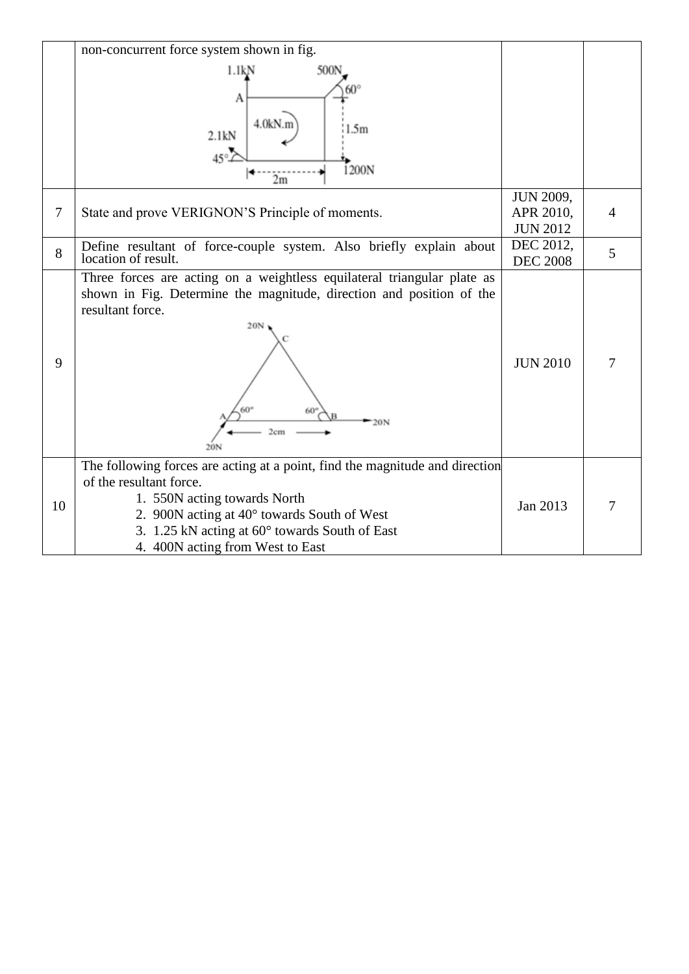|                | non-concurrent force system shown in fig.                                                                                                                                                                                                                                    |                                                  |   |
|----------------|------------------------------------------------------------------------------------------------------------------------------------------------------------------------------------------------------------------------------------------------------------------------------|--------------------------------------------------|---|
|                | 500N<br>1.1kN                                                                                                                                                                                                                                                                |                                                  |   |
|                | А<br>4.0kN.n<br>1.5m<br>2.1kN<br>45°<br>1200N                                                                                                                                                                                                                                |                                                  |   |
| $\overline{7}$ | 2m<br>State and prove VERIGNON'S Principle of moments.                                                                                                                                                                                                                       | <b>JUN 2009,</b><br>APR 2010,<br><b>JUN 2012</b> | 4 |
| 8              | Define resultant of force-couple system. Also briefly explain about<br>location of result.                                                                                                                                                                                   | DEC 2012,<br><b>DEC 2008</b>                     | 5 |
| 9              | Three forces are acting on a weightless equilateral triangular plate as<br>shown in Fig. Determine the magnitude, direction and position of the<br>resultant force.<br>20N<br>20 <sub>N</sub><br>2cm<br>20N                                                                  | <b>JUN 2010</b>                                  | 7 |
| 10             | The following forces are acting at a point, find the magnitude and direction<br>of the resultant force.<br>1. 550N acting towards North<br>2. 900N acting at 40° towards South of West<br>3. 1.25 kN acting at 60° towards South of East<br>4. 400N acting from West to East | Jan 2013                                         | 7 |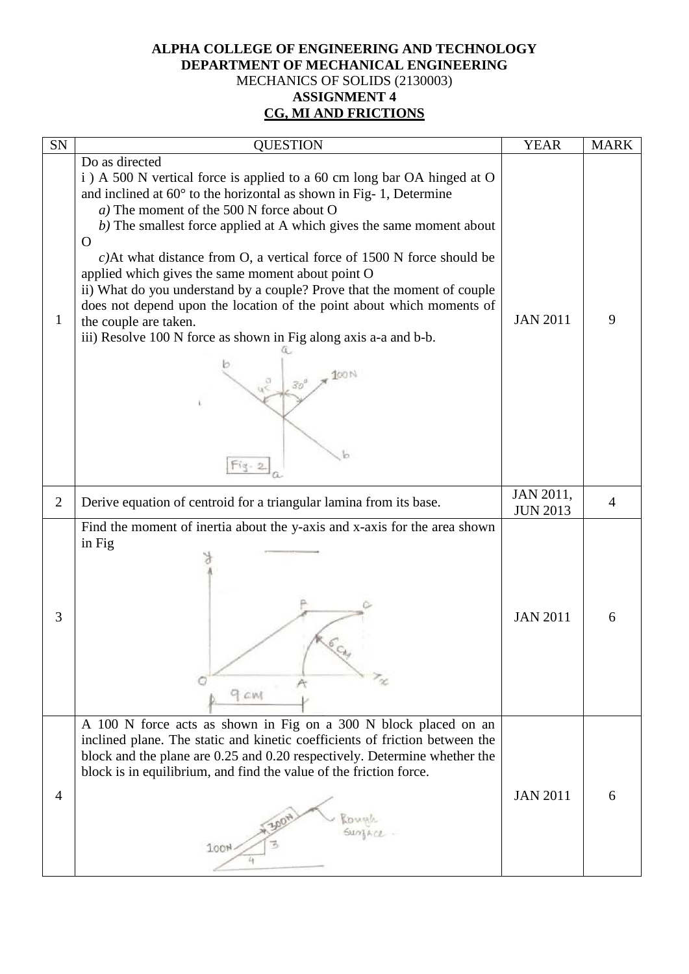# **ALPHA COLLEGE OF ENGINEERING AND TECHNOLOGY DEPARTMENT OF MECHANICAL ENGINEERING** MECHANICS OF SOLIDS (2130003) **ASSIGNMENT 4 CG, MI AND FRICTIONS**

| SN             | <b>QUESTION</b>                                                                                                                                                                                                                                                                                                                                                                                                                                                                                                                                                                                                                                                                                         | <b>YEAR</b>                  | <b>MARK</b> |
|----------------|---------------------------------------------------------------------------------------------------------------------------------------------------------------------------------------------------------------------------------------------------------------------------------------------------------------------------------------------------------------------------------------------------------------------------------------------------------------------------------------------------------------------------------------------------------------------------------------------------------------------------------------------------------------------------------------------------------|------------------------------|-------------|
| $\mathbf{1}$   | Do as directed<br>i) A 500 N vertical force is applied to a 60 cm long bar OA hinged at O<br>and inclined at $60^{\circ}$ to the horizontal as shown in Fig- 1, Determine<br>a) The moment of the 500 N force about O<br>b) The smallest force applied at A which gives the same moment about<br>O<br>$c$ )At what distance from O, a vertical force of 1500 N force should be<br>applied which gives the same moment about point O<br>ii) What do you understand by a couple? Prove that the moment of couple<br>does not depend upon the location of the point about which moments of<br>the couple are taken.<br>iii) Resolve 100 N force as shown in Fig along axis a-a and b-b.<br>30 <sup>o</sup> | <b>JAN 2011</b>              | 9           |
| $\overline{2}$ | Derive equation of centroid for a triangular lamina from its base.                                                                                                                                                                                                                                                                                                                                                                                                                                                                                                                                                                                                                                      | JAN 2011,<br><b>JUN 2013</b> | 4           |
| 3              | Find the moment of inertia about the y-axis and x-axis for the area shown<br>in Fig<br>9 CM                                                                                                                                                                                                                                                                                                                                                                                                                                                                                                                                                                                                             | <b>JAN 2011</b>              | 6           |
| $\overline{4}$ | A 100 N force acts as shown in Fig on a 300 N block placed on an<br>inclined plane. The static and kinetic coefficients of friction between the<br>block and the plane are 0.25 and 0.20 respectively. Determine whether the<br>block is in equilibrium, and find the value of the friction force.<br>100 <sup>h</sup>                                                                                                                                                                                                                                                                                                                                                                                  | <b>JAN 2011</b>              | 6           |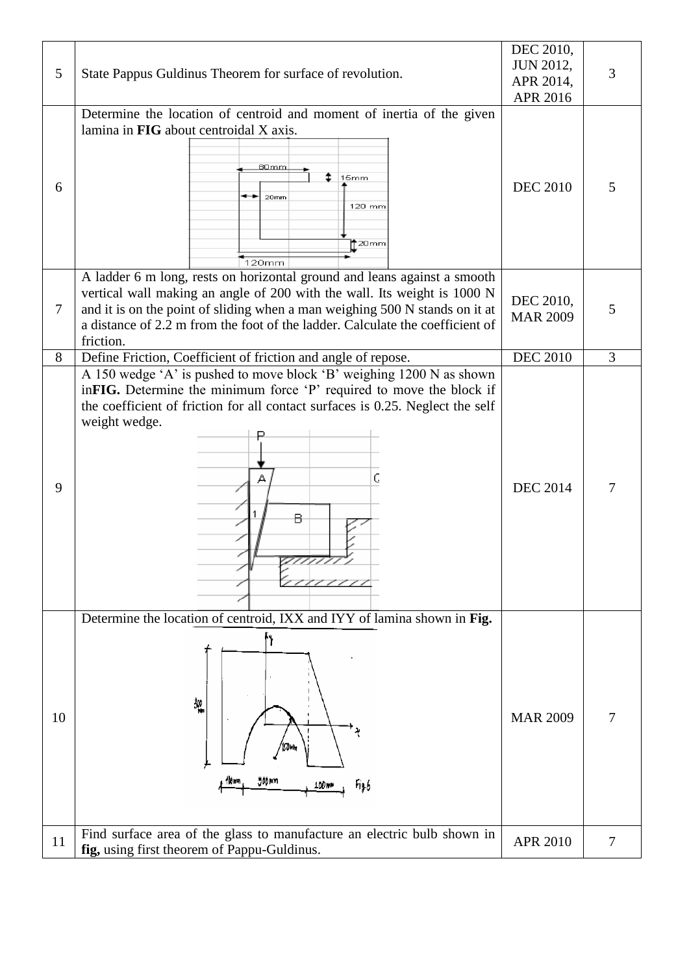| <b>JUN 2012,</b><br>5<br>State Pappus Guldinus Theorem for surface of revolution.<br>3<br>APR 2014,<br>APR 2016<br>Determine the location of centroid and moment of inertia of the given<br>lamina in FIG about centroidal X axis.<br>80mm<br>15mm<br><b>DEC 2010</b><br>6<br>5<br>20mm<br>120 mm<br>$\dagger$ 20mm<br>120mm<br>A ladder 6 m long, rests on horizontal ground and leans against a smooth<br>vertical wall making an angle of 200 with the wall. Its weight is 1000 N<br>DEC 2010,<br>and it is on the point of sliding when a man weighing 500 N stands on it at<br>7<br>5<br><b>MAR 2009</b><br>a distance of 2.2 m from the foot of the ladder. Calculate the coefficient of<br>friction.<br><b>DEC 2010</b><br>Define Friction, Coefficient of friction and angle of repose.<br>3<br>8<br>A 150 wedge 'A' is pushed to move block 'B' weighing 1200 N as shown<br>inFIG. Determine the minimum force 'P' required to move the block if<br>the coefficient of friction for all contact surfaces is 0.25. Neglect the self<br>weight wedge.<br>C<br><b>DEC 2014</b><br>9<br>в<br>Determine the location of centroid, IXX and IYY of lamina shown in Fig.<br>処<br>10<br><b>MAR 2009</b><br>Johnn<br>100mm<br>Fig.6<br>Find surface area of the glass to manufacture an electric bulb shown in<br>APR 2010<br>11<br>7 |                                             | DEC 2010, |  |
|--------------------------------------------------------------------------------------------------------------------------------------------------------------------------------------------------------------------------------------------------------------------------------------------------------------------------------------------------------------------------------------------------------------------------------------------------------------------------------------------------------------------------------------------------------------------------------------------------------------------------------------------------------------------------------------------------------------------------------------------------------------------------------------------------------------------------------------------------------------------------------------------------------------------------------------------------------------------------------------------------------------------------------------------------------------------------------------------------------------------------------------------------------------------------------------------------------------------------------------------------------------------------------------------------------------------------------------|---------------------------------------------|-----------|--|
|                                                                                                                                                                                                                                                                                                                                                                                                                                                                                                                                                                                                                                                                                                                                                                                                                                                                                                                                                                                                                                                                                                                                                                                                                                                                                                                                      |                                             |           |  |
|                                                                                                                                                                                                                                                                                                                                                                                                                                                                                                                                                                                                                                                                                                                                                                                                                                                                                                                                                                                                                                                                                                                                                                                                                                                                                                                                      |                                             |           |  |
|                                                                                                                                                                                                                                                                                                                                                                                                                                                                                                                                                                                                                                                                                                                                                                                                                                                                                                                                                                                                                                                                                                                                                                                                                                                                                                                                      |                                             |           |  |
|                                                                                                                                                                                                                                                                                                                                                                                                                                                                                                                                                                                                                                                                                                                                                                                                                                                                                                                                                                                                                                                                                                                                                                                                                                                                                                                                      |                                             |           |  |
|                                                                                                                                                                                                                                                                                                                                                                                                                                                                                                                                                                                                                                                                                                                                                                                                                                                                                                                                                                                                                                                                                                                                                                                                                                                                                                                                      |                                             |           |  |
|                                                                                                                                                                                                                                                                                                                                                                                                                                                                                                                                                                                                                                                                                                                                                                                                                                                                                                                                                                                                                                                                                                                                                                                                                                                                                                                                      |                                             |           |  |
|                                                                                                                                                                                                                                                                                                                                                                                                                                                                                                                                                                                                                                                                                                                                                                                                                                                                                                                                                                                                                                                                                                                                                                                                                                                                                                                                      |                                             |           |  |
|                                                                                                                                                                                                                                                                                                                                                                                                                                                                                                                                                                                                                                                                                                                                                                                                                                                                                                                                                                                                                                                                                                                                                                                                                                                                                                                                      |                                             |           |  |
|                                                                                                                                                                                                                                                                                                                                                                                                                                                                                                                                                                                                                                                                                                                                                                                                                                                                                                                                                                                                                                                                                                                                                                                                                                                                                                                                      |                                             |           |  |
|                                                                                                                                                                                                                                                                                                                                                                                                                                                                                                                                                                                                                                                                                                                                                                                                                                                                                                                                                                                                                                                                                                                                                                                                                                                                                                                                      |                                             |           |  |
|                                                                                                                                                                                                                                                                                                                                                                                                                                                                                                                                                                                                                                                                                                                                                                                                                                                                                                                                                                                                                                                                                                                                                                                                                                                                                                                                      |                                             |           |  |
|                                                                                                                                                                                                                                                                                                                                                                                                                                                                                                                                                                                                                                                                                                                                                                                                                                                                                                                                                                                                                                                                                                                                                                                                                                                                                                                                      |                                             |           |  |
|                                                                                                                                                                                                                                                                                                                                                                                                                                                                                                                                                                                                                                                                                                                                                                                                                                                                                                                                                                                                                                                                                                                                                                                                                                                                                                                                      |                                             |           |  |
|                                                                                                                                                                                                                                                                                                                                                                                                                                                                                                                                                                                                                                                                                                                                                                                                                                                                                                                                                                                                                                                                                                                                                                                                                                                                                                                                      | fig, using first theorem of Pappu-Guldinus. |           |  |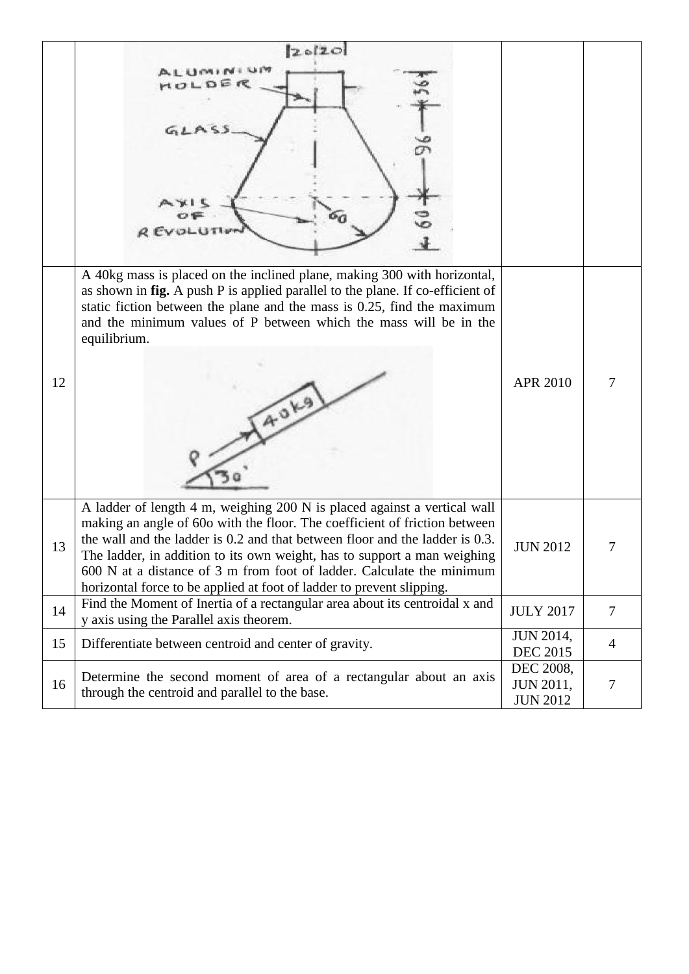|    | 20120                                                                                                                                                                                                                                                                                                                                                                                                                                                                |                                                  |        |
|----|----------------------------------------------------------------------------------------------------------------------------------------------------------------------------------------------------------------------------------------------------------------------------------------------------------------------------------------------------------------------------------------------------------------------------------------------------------------------|--------------------------------------------------|--------|
|    | ALUMINIUM<br>MOLDER<br>GLLASS<br><b>REVOLUTIV</b>                                                                                                                                                                                                                                                                                                                                                                                                                    |                                                  |        |
| 12 | A 40kg mass is placed on the inclined plane, making 300 with horizontal,<br>as shown in fig. A push P is applied parallel to the plane. If co-efficient of<br>static fiction between the plane and the mass is $0.25$ , find the maximum<br>and the minimum values of P between which the mass will be in the<br>equilibrium.<br><b>40Kg</b>                                                                                                                         | APR 2010                                         | 7      |
| 13 | A ladder of length 4 m, weighing 200 N is placed against a vertical wall<br>making an angle of 60o with the floor. The coefficient of friction between<br>the wall and the ladder is 0.2 and that between floor and the ladder is 0.3.<br>The ladder, in addition to its own weight, has to support a man weighing<br>600 N at a distance of 3 m from foot of ladder. Calculate the minimum<br>horizontal force to be applied at foot of ladder to prevent slipping. | <b>JUN 2012</b>                                  | 7      |
| 14 | Find the Moment of Inertia of a rectangular area about its centroidal x and<br>y axis using the Parallel axis theorem.                                                                                                                                                                                                                                                                                                                                               | <b>JULY 2017</b>                                 | $\tau$ |
| 15 | Differentiate between centroid and center of gravity.                                                                                                                                                                                                                                                                                                                                                                                                                | <b>JUN 2014,</b><br><b>DEC 2015</b>              | 4      |
| 16 | Determine the second moment of area of a rectangular about an axis<br>through the centroid and parallel to the base.                                                                                                                                                                                                                                                                                                                                                 | DEC 2008,<br><b>JUN 2011,</b><br><b>JUN 2012</b> | 7      |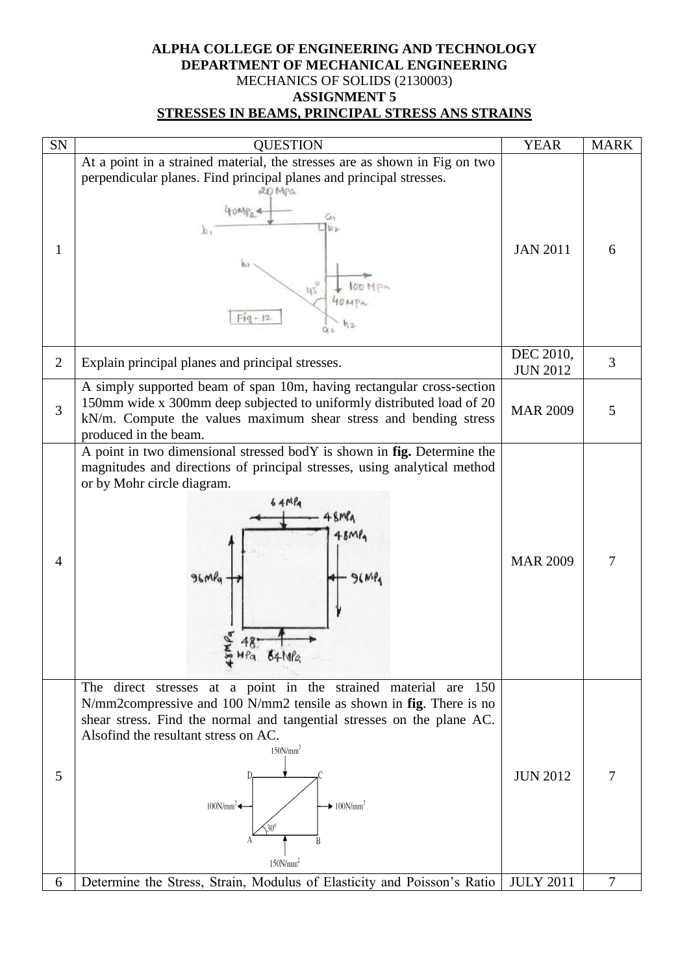#### **ALPHA COLLEGE OF ENGINEERING AND TECHNOLOGY DEPARTMENT OF MECHANICAL ENGINEERING** MECHANICS OF SOLIDS (2130003) **ASSIGNMENT 5 STRESSES IN BEAMS, PRINCIPAL STRESS ANS STRAINS**